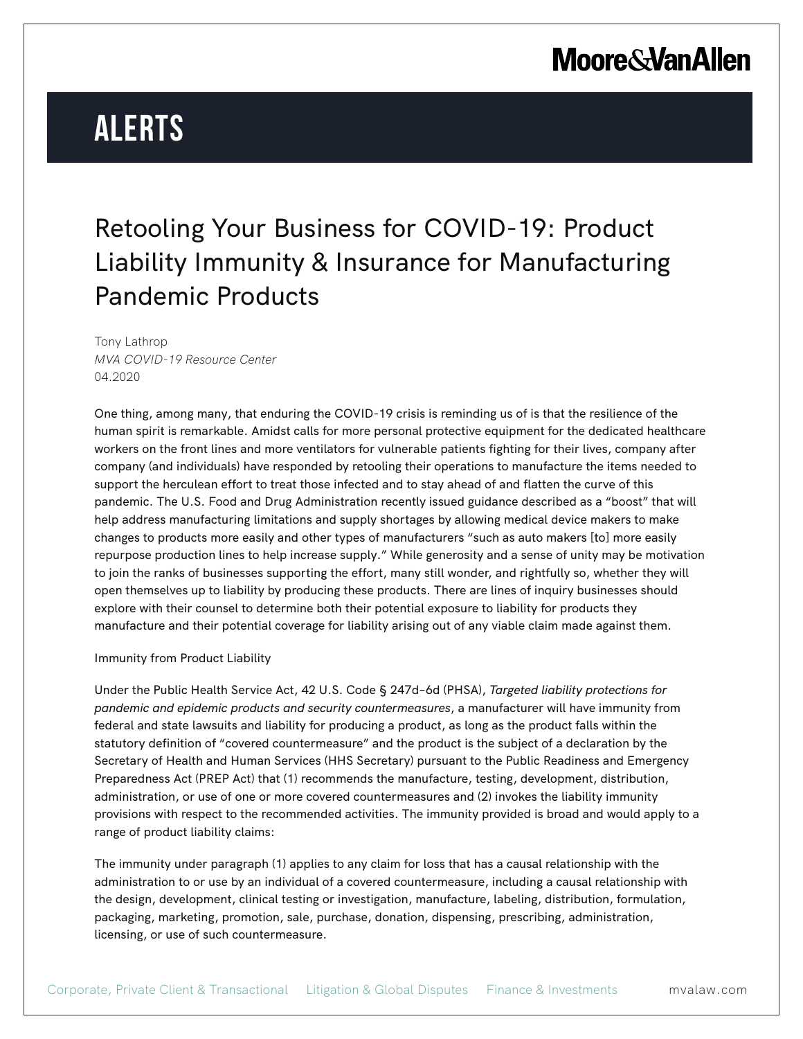## **Moore & Van Allen**

# **Alerts**

### Retooling Your Business for COVID-19: Product Liability Immunity & Insurance for Manufacturing Pandemic Products

Tony Lathrop *MVA COVID-19 Resource Center* 04.2020

One thing, among many, that enduring the COVID-19 crisis is reminding us of is that the resilience of the human spirit is remarkable. Amidst calls for more personal protective equipment for the dedicated healthcare workers on the front lines and more ventilators for vulnerable patients fighting for their lives, company after company (and individuals) have responded by retooling their operations to manufacture the items needed to support the herculean effort to treat those infected and to stay ahead of and flatten the curve of this pandemic. The U.S. Food and Drug Administration recently issued guidance described as a "boost" that will help address manufacturing limitations and supply shortages by allowing medical device makers to make changes to products more easily and other types of manufacturers "such as auto makers [to] more easily repurpose production lines to help increase supply." While generosity and a sense of unity may be motivation to join the ranks of businesses supporting the effort, many still wonder, and rightfully so, whether they will open themselves up to liability by producing these products. There are lines of inquiry businesses should explore with their counsel to determine both their potential exposure to liability for products they manufacture and their potential coverage for liability arising out of any viable claim made against them.

#### Immunity from Product Liability

Under the Public Health Service Act, 42 U.S. Code § 247d–6d (PHSA), *Targeted liability protections for pandemic and epidemic products and security countermeasures*, a manufacturer will have immunity from federal and state lawsuits and liability for producing a product, as long as the product falls within the statutory definition of "covered countermeasure" and the product is the subject of a declaration by the Secretary of Health and Human Services (HHS Secretary) pursuant to the Public Readiness and Emergency Preparedness Act (PREP Act) that (1) recommends the manufacture, testing, development, distribution, administration, or use of one or more covered countermeasures and (2) invokes the liability immunity provisions with respect to the recommended activities. The immunity provided is broad and would apply to a range of product liability claims:

The immunity under paragraph (1) applies to any claim for loss that has a causal relationship with the administration to or use by an individual of a covered countermeasure, including a causal relationship with the design, development, clinical testing or investigation, manufacture, labeling, distribution, formulation, packaging, marketing, promotion, sale, purchase, donation, dispensing, prescribing, administration, licensing, or use of such countermeasure.